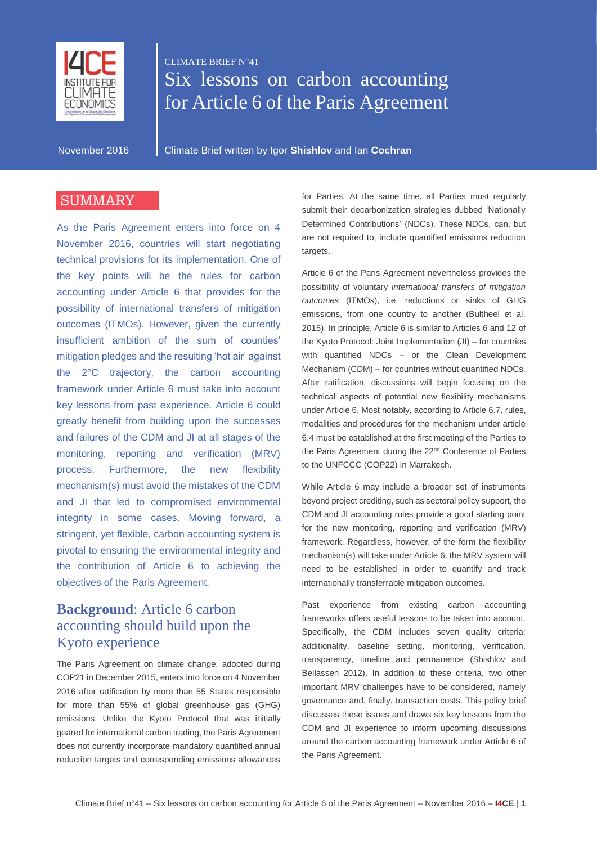

# CLIMATE BRIEF N°41 Six lessons on carbon accounting for Article 6 of the Paris Agreement

November 2016 Climate Brief written by Igor **Shishlov** and Ian **Cochran**

#### **SUMMARY**

As the Paris Agreement enters into force on 4 November 2016, countries will start negotiating technical provisions for its implementation. One of the key points will be the rules for carbon accounting under Article 6 that provides for the possibility of international transfers of mitigation outcomes (ITMOs). However, given the currently insufficient ambition of the sum of counties' mitigation pledges and the resulting 'hot air' against the 2°C trajectory, the carbon accounting framework under Article 6 must take into account key lessons from past experience. Article 6 could greatly benefit from building upon the successes and failures of the CDM and JI at all stages of the monitoring, reporting and verification (MRV) process. Furthermore, the new flexibility mechanism(s) must avoid the mistakes of the CDM and JI that led to compromised environmental integrity in some cases. Moving forward, a stringent, yet flexible, carbon accounting system is pivotal to ensuring the environmental integrity and the contribution of Article 6 to achieving the objectives of the Paris Agreement.

#### **Background**: Article 6 carbon accounting should build upon the Kyoto experience

The Paris Agreement on climate change, adopted during COP21 in December 2015, enters into force on 4 November 2016 after ratification by more than 55 States responsible for more than 55% of global greenhouse gas (GHG) emissions. Unlike the Kyoto Protocol that was initially geared for international carbon trading, the Paris Agreement does not currently incorporate mandatory quantified annual reduction targets and corresponding emissions allowances

for Parties. At the same time, all Parties must regularly submit their decarbonization strategies dubbed 'Nationally Determined Contributions' (NDCs). These NDCs, can, but are not required to, include quantified emissions reduction targets.

Article 6 of the Paris Agreement nevertheless provides the possibility of voluntary *international transfers of mitigation outcomes* (ITMOs), i.e. reductions or sinks of GHG emissions, from one country to another (Bultheel et al. 2015). In principle, Article 6 is similar to Articles 6 and 12 of the Kyoto Protocol: Joint Implementation (JI) – for countries with quantified NDCs – or the Clean Development Mechanism (CDM) – for countries without quantified NDCs. After ratification, discussions will begin focusing on the technical aspects of potential new flexibility mechanisms under Article 6. Most notably, according to Article 6.7, rules, modalities and procedures for the mechanism under article 6.4 must be established at the first meeting of the Parties to the Paris Agreement during the 22<sup>nd</sup> Conference of Parties to the UNFCCC (COP22) in Marrakech.

While Article 6 may include a broader set of instruments beyond project crediting, such as sectoral policy support, the CDM and JI accounting rules provide a good starting point for the new monitoring, reporting and verification (MRV) framework. Regardless, however, of the form the flexibility mechanism(s) will take under Article 6, the MRV system will need to be established in order to quantify and track internationally transferrable mitigation outcomes.

Past experience from existing carbon accounting frameworks offers useful lessons to be taken into account. Specifically, the CDM includes seven quality criteria: additionality, baseline setting, monitoring, verification, transparency, timeline and permanence (Shishlov and Bellassen 2012). In addition to these criteria, two other important MRV challenges have to be considered, namely governance and, finally, transaction costs. This policy brief discusses these issues and draws six key lessons from the CDM and JI experience to inform upcoming discussions around the carbon accounting framework under Article 6 of the Paris Agreement.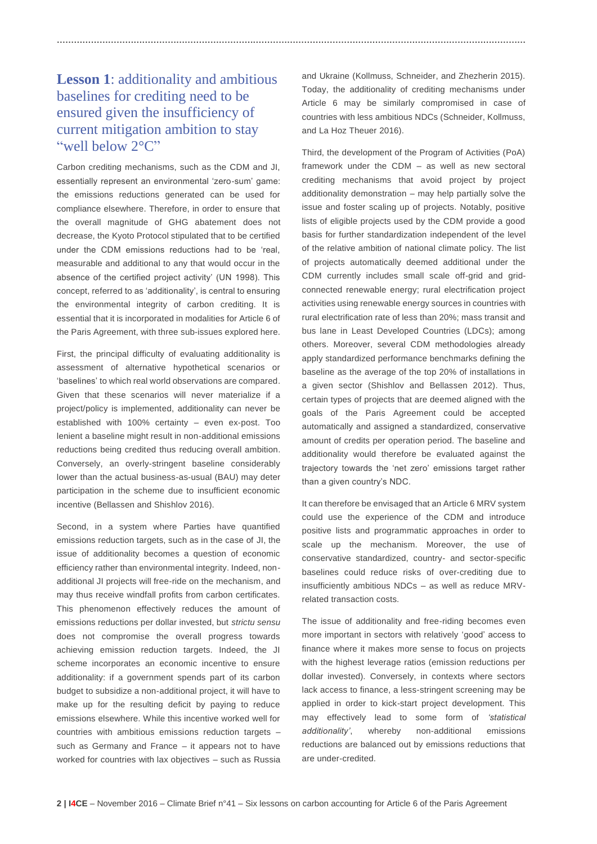## **Lesson 1**: additionality and ambitious baselines for crediting need to be ensured given the insufficiency of current mitigation ambition to stay "well below 2°C"

Carbon crediting mechanisms, such as the CDM and JI, essentially represent an environmental 'zero-sum' game: the emissions reductions generated can be used for compliance elsewhere. Therefore, in order to ensure that the overall magnitude of GHG abatement does not decrease, the Kyoto Protocol stipulated that to be certified under the CDM emissions reductions had to be 'real, measurable and additional to any that would occur in the absence of the certified project activity' (UN 1998). This concept, referred to as 'additionality', is central to ensuring the environmental integrity of carbon crediting. It is essential that it is incorporated in modalities for Article 6 of the Paris Agreement, with three sub-issues explored here.

First, the principal difficulty of evaluating additionality is assessment of alternative hypothetical scenarios or 'baselines' to which real world observations are compared. Given that these scenarios will never materialize if a project/policy is implemented, additionality can never be established with 100% certainty – even ex-post. Too lenient a baseline might result in non-additional emissions reductions being credited thus reducing overall ambition. Conversely, an overly-stringent baseline considerably lower than the actual business-as-usual (BAU) may deter participation in the scheme due to insufficient economic incentive (Bellassen and Shishlov 2016).

Second, in a system where Parties have quantified emissions reduction targets, such as in the case of JI, the issue of additionality becomes a question of economic efficiency rather than environmental integrity. Indeed, nonadditional JI projects will free-ride on the mechanism, and may thus receive windfall profits from carbon certificates. This phenomenon effectively reduces the amount of emissions reductions per dollar invested, but *strictu sensu* does not compromise the overall progress towards achieving emission reduction targets. Indeed, the JI scheme incorporates an economic incentive to ensure additionality: if a government spends part of its carbon budget to subsidize a non-additional project, it will have to make up for the resulting deficit by paying to reduce emissions elsewhere. While this incentive worked well for countries with ambitious emissions reduction targets – such as Germany and France – it appears not to have worked for countries with lax objectives – such as Russia and Ukraine (Kollmuss, Schneider, and Zhezherin 2015). Today, the additionality of crediting mechanisms under Article 6 may be similarly compromised in case of countries with less ambitious NDCs (Schneider, Kollmuss, and La Hoz Theuer 2016).

**…………………………………………………………………………………………………………………………………………………**

Third, the development of the Program of Activities (PoA) framework under the CDM – as well as new sectoral crediting mechanisms that avoid project by project additionality demonstration – may help partially solve the issue and foster scaling up of projects. Notably, positive lists of eligible projects used by the CDM provide a good basis for further standardization independent of the level of the relative ambition of national climate policy. The list of projects automatically deemed additional under the CDM currently includes small scale off-grid and gridconnected renewable energy; rural electrification project activities using renewable energy sources in countries with rural electrification rate of less than 20%; mass transit and bus lane in Least Developed Countries (LDCs); among others. Moreover, several CDM methodologies already apply standardized performance benchmarks defining the baseline as the average of the top 20% of installations in a given sector (Shishlov and Bellassen 2012). Thus, certain types of projects that are deemed aligned with the goals of the Paris Agreement could be accepted automatically and assigned a standardized, conservative amount of credits per operation period. The baseline and additionality would therefore be evaluated against the trajectory towards the 'net zero' emissions target rather than a given country's NDC.

It can therefore be envisaged that an Article 6 MRV system could use the experience of the CDM and introduce positive lists and programmatic approaches in order to scale up the mechanism. Moreover, the use of conservative standardized, country- and sector-specific baselines could reduce risks of over-crediting due to insufficiently ambitious NDCs – as well as reduce MRVrelated transaction costs.

The issue of additionality and free-riding becomes even more important in sectors with relatively 'good' access to finance where it makes more sense to focus on projects with the highest leverage ratios (emission reductions per dollar invested). Conversely, in contexts where sectors lack access to finance, a less-stringent screening may be applied in order to kick-start project development. This may effectively lead to some form of *'statistical additionality'*, whereby non-additional emissions reductions are balanced out by emissions reductions that are under-credited.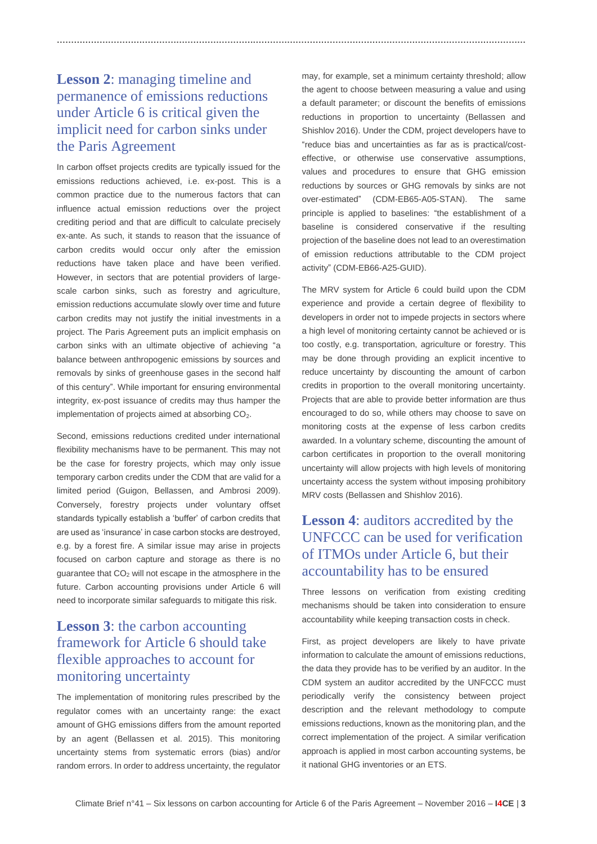# **Lesson 2**: managing timeline and permanence of emissions reductions under Article 6 is critical given the implicit need for carbon sinks under the Paris Agreement

**…………………………………………………………………………………………………………………………………………………**

In carbon offset projects credits are typically issued for the emissions reductions achieved, i.e. ex-post. This is a common practice due to the numerous factors that can influence actual emission reductions over the project crediting period and that are difficult to calculate precisely ex-ante. As such, it stands to reason that the issuance of carbon credits would occur only after the emission reductions have taken place and have been verified. However, in sectors that are potential providers of largescale carbon sinks, such as forestry and agriculture, emission reductions accumulate slowly over time and future carbon credits may not justify the initial investments in a project. The Paris Agreement puts an implicit emphasis on carbon sinks with an ultimate objective of achieving "a balance between anthropogenic emissions by sources and removals by sinks of greenhouse gases in the second half of this century". While important for ensuring environmental integrity, ex-post issuance of credits may thus hamper the implementation of projects aimed at absorbing  $CO<sub>2</sub>$ .

Second, emissions reductions credited under international flexibility mechanisms have to be permanent. This may not be the case for forestry projects, which may only issue temporary carbon credits under the CDM that are valid for a limited period (Guigon, Bellassen, and Ambrosi 2009). Conversely, forestry projects under voluntary offset standards typically establish a 'buffer' of carbon credits that are used as 'insurance' in case carbon stocks are destroyed, e.g. by a forest fire. A similar issue may arise in projects focused on carbon capture and storage as there is no guarantee that  $CO<sub>2</sub>$  will not escape in the atmosphere in the future. Carbon accounting provisions under Article 6 will need to incorporate similar safeguards to mitigate this risk.

#### **Lesson 3**: the carbon accounting framework for Article 6 should take flexible approaches to account for monitoring uncertainty

The implementation of monitoring rules prescribed by the regulator comes with an uncertainty range: the exact amount of GHG emissions differs from the amount reported by an agent (Bellassen et al. 2015). This monitoring uncertainty stems from systematic errors (bias) and/or random errors. In order to address uncertainty, the regulator may, for example, set a minimum certainty threshold; allow the agent to choose between measuring a value and using a default parameter; or discount the benefits of emissions reductions in proportion to uncertainty (Bellassen and Shishlov 2016). Under the CDM, project developers have to "reduce bias and uncertainties as far as is practical/costeffective, or otherwise use conservative assumptions, values and procedures to ensure that GHG emission reductions by sources or GHG removals by sinks are not over-estimated" (CDM-EB65-A05-STAN). The same principle is applied to baselines: "the establishment of a baseline is considered conservative if the resulting projection of the baseline does not lead to an overestimation of emission reductions attributable to the CDM project activity" (CDM-EB66-A25-GUID).

The MRV system for Article 6 could build upon the CDM experience and provide a certain degree of flexibility to developers in order not to impede projects in sectors where a high level of monitoring certainty cannot be achieved or is too costly, e.g. transportation, agriculture or forestry. This may be done through providing an explicit incentive to reduce uncertainty by discounting the amount of carbon credits in proportion to the overall monitoring uncertainty. Projects that are able to provide better information are thus encouraged to do so, while others may choose to save on monitoring costs at the expense of less carbon credits awarded. In a voluntary scheme, discounting the amount of carbon certificates in proportion to the overall monitoring uncertainty will allow projects with high levels of monitoring uncertainty access the system without imposing prohibitory MRV costs (Bellassen and Shishlov 2016).

#### **Lesson 4**: auditors accredited by the UNFCCC can be used for verification of ITMOs under Article 6, but their accountability has to be ensured

Three lessons on verification from existing crediting mechanisms should be taken into consideration to ensure accountability while keeping transaction costs in check.

First, as project developers are likely to have private information to calculate the amount of emissions reductions, the data they provide has to be verified by an auditor. In the CDM system an auditor accredited by the UNFCCC must periodically verify the consistency between project description and the relevant methodology to compute emissions reductions, known as the monitoring plan, and the correct implementation of the project. A similar verification approach is applied in most carbon accounting systems, be it national GHG inventories or an ETS.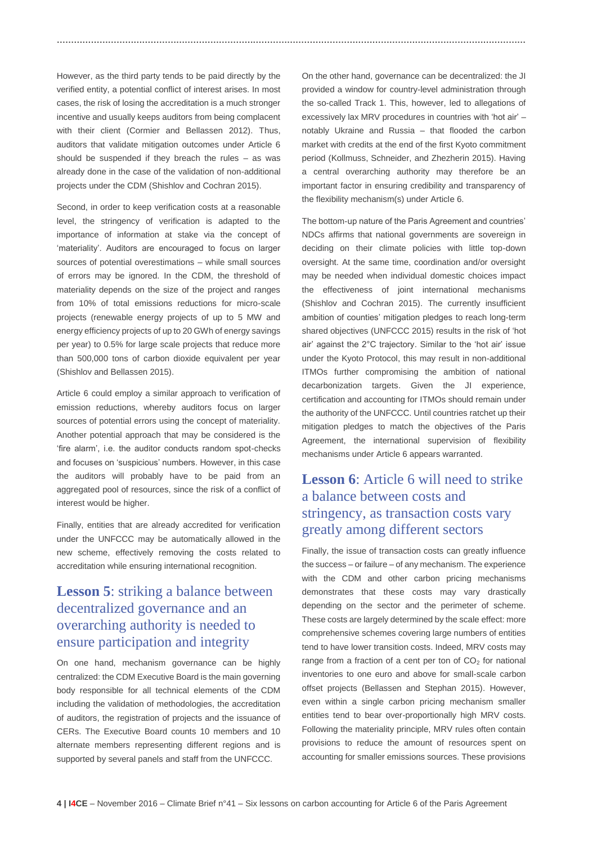However, as the third party tends to be paid directly by the verified entity, a potential conflict of interest arises. In most cases, the risk of losing the accreditation is a much stronger incentive and usually keeps auditors from being complacent with their client (Cormier and Bellassen 2012). Thus, auditors that validate mitigation outcomes under Article 6 should be suspended if they breach the rules – as was already done in the case of the validation of non-additional projects under the CDM (Shishlov and Cochran 2015).

**…………………………………………………………………………………………………………………………………………………**

Second, in order to keep verification costs at a reasonable level, the stringency of verification is adapted to the importance of information at stake via the concept of 'materiality'. Auditors are encouraged to focus on larger sources of potential overestimations – while small sources of errors may be ignored. In the CDM, the threshold of materiality depends on the size of the project and ranges from 10% of total emissions reductions for micro-scale projects (renewable energy projects of up to 5 MW and energy efficiency projects of up to 20 GWh of energy savings per year) to 0.5% for large scale projects that reduce more than 500,000 tons of carbon dioxide equivalent per year (Shishlov and Bellassen 2015).

Article 6 could employ a similar approach to verification of emission reductions, whereby auditors focus on larger sources of potential errors using the concept of materiality. Another potential approach that may be considered is the 'fire alarm', i.e. the auditor conducts random spot-checks and focuses on 'suspicious' numbers. However, in this case the auditors will probably have to be paid from an aggregated pool of resources, since the risk of a conflict of interest would be higher.

Finally, entities that are already accredited for verification under the UNFCCC may be automatically allowed in the new scheme, effectively removing the costs related to accreditation while ensuring international recognition.

#### **Lesson 5**: striking a balance between decentralized governance and an overarching authority is needed to ensure participation and integrity

On one hand, mechanism governance can be highly centralized: the CDM Executive Board is the main governing body responsible for all technical elements of the CDM including the validation of methodologies, the accreditation of auditors, the registration of projects and the issuance of CERs. The Executive Board counts 10 members and 10 alternate members representing different regions and is supported by several panels and staff from the UNFCCC.

On the other hand, governance can be decentralized: the JI provided a window for country-level administration through the so-called Track 1. This, however, led to allegations of excessively lax MRV procedures in countries with 'hot air' – notably Ukraine and Russia – that flooded the carbon market with credits at the end of the first Kyoto commitment period (Kollmuss, Schneider, and Zhezherin 2015). Having a central overarching authority may therefore be an important factor in ensuring credibility and transparency of the flexibility mechanism(s) under Article 6.

The bottom-up nature of the Paris Agreement and countries' NDCs affirms that national governments are sovereign in deciding on their climate policies with little top-down oversight. At the same time, coordination and/or oversight may be needed when individual domestic choices impact the effectiveness of joint international mechanisms (Shishlov and Cochran 2015). The currently insufficient ambition of counties' mitigation pledges to reach long-term shared objectives (UNFCCC 2015) results in the risk of 'hot air' against the 2°C trajectory. Similar to the 'hot air' issue under the Kyoto Protocol, this may result in non-additional ITMOs further compromising the ambition of national decarbonization targets. Given the JI experience, certification and accounting for ITMOs should remain under the authority of the UNFCCC. Until countries ratchet up their mitigation pledges to match the objectives of the Paris Agreement, the international supervision of flexibility mechanisms under Article 6 appears warranted.

#### **Lesson 6**: Article 6 will need to strike a balance between costs and stringency, as transaction costs vary greatly among different sectors

Finally, the issue of transaction costs can greatly influence the success – or failure – of any mechanism. The experience with the CDM and other carbon pricing mechanisms demonstrates that these costs may vary drastically depending on the sector and the perimeter of scheme. These costs are largely determined by the scale effect: more comprehensive schemes covering large numbers of entities tend to have lower transition costs. Indeed, MRV costs may range from a fraction of a cent per ton of  $CO<sub>2</sub>$  for national inventories to one euro and above for small-scale carbon offset projects (Bellassen and Stephan 2015). However, even within a single carbon pricing mechanism smaller entities tend to bear over-proportionally high MRV costs. Following the materiality principle, MRV rules often contain provisions to reduce the amount of resources spent on accounting for smaller emissions sources. These provisions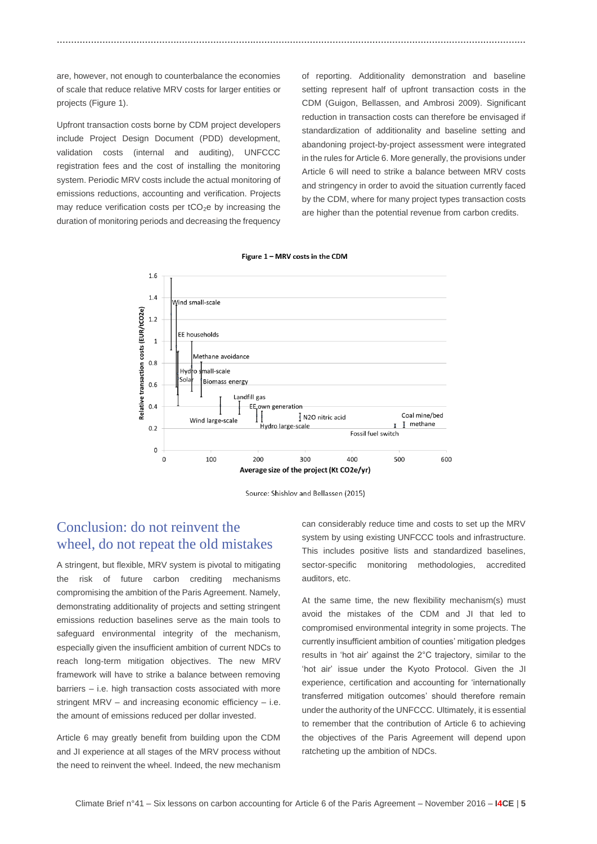are, however, not enough to counterbalance the economies of scale that reduce relative MRV costs for larger entities or projects (Figure 1).

Upfront transaction costs borne by CDM project developers include Project Design Document (PDD) development, validation costs (internal and auditing), UNFCCC registration fees and the cost of installing the monitoring system. Periodic MRV costs include the actual monitoring of emissions reductions, accounting and verification. Projects may reduce verification costs per  $tCO<sub>2</sub>e$  by increasing the duration of monitoring periods and decreasing the frequency

of reporting. Additionality demonstration and baseline setting represent half of upfront transaction costs in the CDM (Guigon, Bellassen, and Ambrosi 2009). Significant reduction in transaction costs can therefore be envisaged if standardization of additionality and baseline setting and abandoning project-by-project assessment were integrated in the rules for Article 6. More generally, the provisions under Article 6 will need to strike a balance between MRV costs and stringency in order to avoid the situation currently faced by the CDM, where for many project types transaction costs are higher than the potential revenue from carbon credits.





**…………………………………………………………………………………………………………………………………………………**



#### Conclusion: do not reinvent the wheel, do not repeat the old mistakes

A stringent, but flexible, MRV system is pivotal to mitigating the risk of future carbon crediting mechanisms compromising the ambition of the Paris Agreement. Namely, demonstrating additionality of projects and setting stringent emissions reduction baselines serve as the main tools to safeguard environmental integrity of the mechanism, especially given the insufficient ambition of current NDCs to reach long-term mitigation objectives. The new MRV framework will have to strike a balance between removing barriers – i.e. high transaction costs associated with more stringent MRV – and increasing economic efficiency – i.e. the amount of emissions reduced per dollar invested.

Article 6 may greatly benefit from building upon the CDM and JI experience at all stages of the MRV process without the need to reinvent the wheel. Indeed, the new mechanism

can considerably reduce time and costs to set up the MRV system by using existing UNFCCC tools and infrastructure. This includes positive lists and standardized baselines, sector-specific monitoring methodologies, accredited auditors, etc.

At the same time, the new flexibility mechanism(s) must avoid the mistakes of the CDM and JI that led to compromised environmental integrity in some projects. The currently insufficient ambition of counties' mitigation pledges results in 'hot air' against the 2°C trajectory, similar to the 'hot air' issue under the Kyoto Protocol. Given the JI experience, certification and accounting for 'internationally transferred mitigation outcomes' should therefore remain under the authority of the UNFCCC. Ultimately, it is essential to remember that the contribution of Article 6 to achieving the objectives of the Paris Agreement will depend upon ratcheting up the ambition of NDCs.